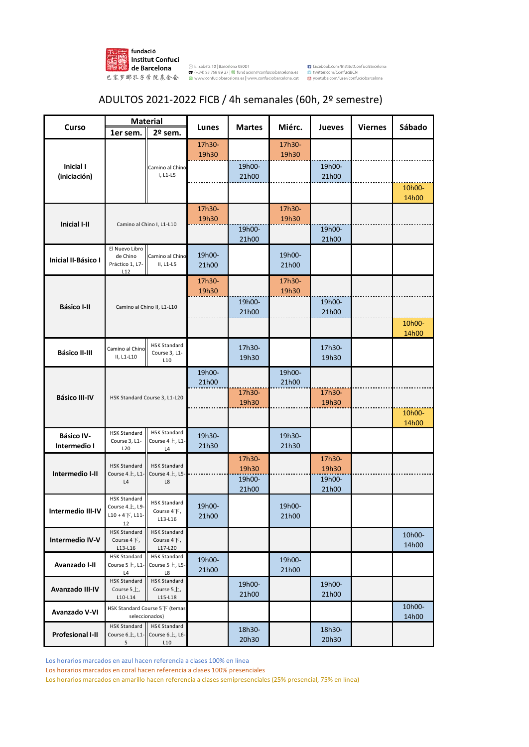

## ADULTOS 2021-2022 FICB / 4h semanales (60h, 2º semestre)

|                                                                    | <b>Material</b><br>Miérc.<br>Curso<br><b>Martes</b><br><b>Jueves</b><br><b>Viernes</b><br>Lunes<br>2º sem.<br>1er sem. | Sábado                                          |                 |                 |                 |                 |  |        |
|--------------------------------------------------------------------|------------------------------------------------------------------------------------------------------------------------|-------------------------------------------------|-----------------|-----------------|-----------------|-----------------|--|--------|
|                                                                    |                                                                                                                        |                                                 |                 |                 |                 |                 |  |        |
|                                                                    |                                                                                                                        |                                                 | 17h30-          |                 | 17h30-          |                 |  |        |
|                                                                    |                                                                                                                        |                                                 | 19h30           |                 | 19h30           |                 |  |        |
| Inicial I<br>(iniciación)                                          |                                                                                                                        | Camino al Chino<br>I, L1-L5                     |                 | 19h00-<br>21h00 |                 | 19h00-<br>21h00 |  |        |
|                                                                    |                                                                                                                        |                                                 |                 |                 |                 |                 |  | 10h00- |
|                                                                    |                                                                                                                        |                                                 |                 |                 |                 |                 |  | 14h00  |
|                                                                    |                                                                                                                        |                                                 | 17h30-          |                 | 17h30-          |                 |  |        |
| <b>Inicial I-II</b>                                                |                                                                                                                        | Camino al Chino I, L1-L10                       | 19h30           |                 | 19h30           |                 |  |        |
|                                                                    |                                                                                                                        |                                                 |                 | 19h00-<br>21h00 |                 | 19h00-<br>21h00 |  |        |
|                                                                    | El Nuevo Libro                                                                                                         |                                                 |                 |                 |                 |                 |  |        |
| Inicial II-Básico I                                                | de Chino<br>Práctico 1, L7-                                                                                            | Camino al Chino<br>II, L1-L5                    | 19h00-<br>21h00 |                 | 19h00-<br>21h00 |                 |  |        |
|                                                                    | L12                                                                                                                    |                                                 |                 |                 |                 |                 |  |        |
|                                                                    |                                                                                                                        |                                                 | 17h30-<br>19h30 |                 | 17h30-<br>19h30 |                 |  |        |
|                                                                    |                                                                                                                        |                                                 |                 | 19h00-          |                 | 19h00-          |  |        |
|                                                                    |                                                                                                                        | Camino al Chino II, L1-L10                      |                 | 21h00           |                 | 21h00           |  |        |
| <b>Básico I-II</b><br><b>Básico II-III</b><br><b>Básico III-IV</b> |                                                                                                                        |                                                 |                 |                 |                 |                 |  | 10h00- |
|                                                                    |                                                                                                                        |                                                 |                 |                 |                 |                 |  | 14h00  |
|                                                                    | Camino al Chino                                                                                                        | <b>HSK Standard</b><br>Course 3, L1-            |                 | 17h30-          |                 | 17h30-          |  |        |
|                                                                    | II, L1-L10                                                                                                             | L10                                             |                 | 19h30           |                 | 19h30           |  |        |
|                                                                    |                                                                                                                        |                                                 | 19h00-          |                 | 19h00-          |                 |  |        |
|                                                                    |                                                                                                                        |                                                 | 21h00           | 17h30-          | 21h00           | 17h30-          |  |        |
|                                                                    | HSK Standard Course 3, L1-L20                                                                                          |                                                 |                 | 19h30           |                 | 19h30           |  |        |
|                                                                    |                                                                                                                        |                                                 |                 |                 |                 |                 |  | 10h00- |
|                                                                    |                                                                                                                        |                                                 |                 |                 |                 |                 |  | 14h00  |
| <b>Básico IV-</b>                                                  | <b>HSK Standard</b><br>Course 3, L1-                                                                                   | <b>HSK Standard</b><br>Course 4 $\pm$ , L1-     | 19h30-          |                 | 19h30-          |                 |  |        |
| Intermedio I                                                       | L20                                                                                                                    | L4                                              | 21h30           |                 | 21h30           |                 |  |        |
|                                                                    | <b>HSK Standard</b>                                                                                                    | <b>HSK Standard</b>                             |                 | 17h30-<br>19h30 |                 | 17h30-<br>19h30 |  |        |
| Intermedio I-II                                                    | Course 4上, L1-                                                                                                         | Course 4上, L5-                                  |                 | 19h00-          |                 | 19h00-          |  |        |
|                                                                    | $\mathsf{L}4$                                                                                                          | $\mathsf{L}8$                                   |                 | 21h00           |                 | 21h00           |  |        |
|                                                                    | <b>HSK Standard</b>                                                                                                    | <b>HSK Standard</b>                             | 19h00-          |                 | 19h00-          |                 |  |        |
| Intermedio III-IV                                                  | Course $4L$ , L9<br>$L10 + 4$ $\overline{1}$ , L11                                                                     | Course 4下,                                      | 21h00           |                 | 21h00           |                 |  |        |
|                                                                    | 12                                                                                                                     | L13-L16                                         |                 |                 |                 |                 |  |        |
| <b>Intermedio IV-V</b>                                             | <b>HSK Standard</b><br>Course $4F$ ,                                                                                   | <b>HSK Standard</b><br>Course $4F$ ,            |                 |                 |                 |                 |  | 10h00- |
|                                                                    | L13-L16<br><b>HSK Standard</b>                                                                                         | L17-L20<br><b>HSK Standard</b>                  |                 |                 |                 |                 |  | 14h00  |
| Avanzado I-II                                                      | Course $5L$ , L1-                                                                                                      | Course $5L$ , L5-                               | 19h00-<br>21h00 |                 | 19h00-<br>21h00 |                 |  |        |
|                                                                    | L4<br><b>HSK Standard</b>                                                                                              | L8<br><b>HSK Standard</b>                       |                 |                 |                 |                 |  |        |
| Avanzado III-IV                                                    | Course $5L$ ,                                                                                                          | Course $5L$ ,                                   |                 | 19h00-<br>21h00 |                 | 19h00-<br>21h00 |  |        |
|                                                                    | $L10-L14$                                                                                                              | L15-L18                                         |                 |                 |                 |                 |  | 10h00- |
| Avanzado V-VI                                                      |                                                                                                                        | HSK Standard Course 5下 (temas<br>seleccionados) |                 |                 |                 |                 |  | 14h00  |
|                                                                    | <b>HSK Standard</b>                                                                                                    | <b>HSK Standard</b>                             |                 | 18h30-          |                 | 18h30-          |  |        |
| <b>Profesional I-II</b>                                            | Course $6L$ , L1-<br>5 <sup>5</sup>                                                                                    | Course 6上, L6-<br>L10                           |                 | 20h30           |                 | 20h30           |  |        |

Los horarios marcados en azul hacen referencia a clases 100% en línea

Los horarios marcados en coral hacen referencia a clases 100% presenciales

Los horarios marcados en amarillo hacen referencia a clases semipresenciales (25% presencial, 75% en línea)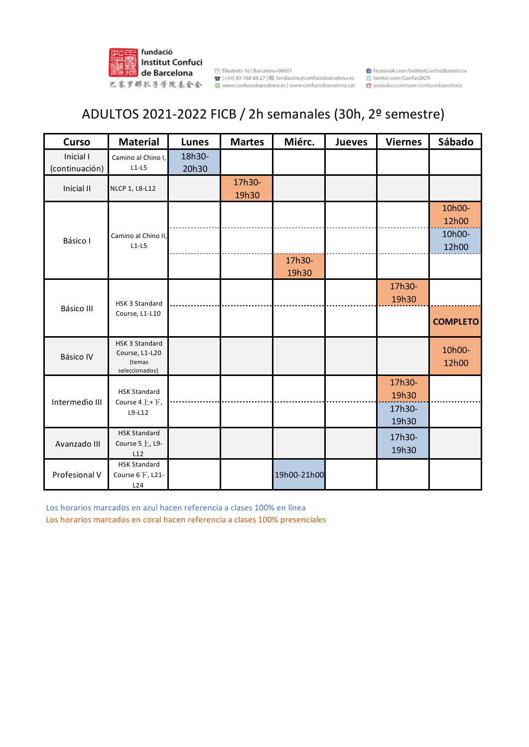

**注意: HISticut Cornuci**<br>|原因主要| **de Barcelona | marging 1988** 8927|■ fundacion@confuciobarcelona.es<br>巴塞罗那乳子學院基金会 | ■ www.confuciobarcelona.es| www.confuciobarcelona.cat

acebook.com/InstitutConfuciBarcelona **23** twitter.com/ConfuciBCN youtube.com/user/confuciobarcelona

## ADULTOS 2021-2022 FICB / 2h semanales (30h, 2º semestre)

| <b>Curso</b>                                                      | <b>Material</b>                                              | <b>Lunes</b>    | <b>Martes</b>   | Miérc.      | <b>Jueves</b> | <b>Viernes</b>            | Sábado          |
|-------------------------------------------------------------------|--------------------------------------------------------------|-----------------|-----------------|-------------|---------------|---------------------------|-----------------|
| Inicial I<br>(continuación)                                       | Camino al Chino I,<br>$L1-L5$                                | 18h30-<br>20h30 |                 |             |               |                           |                 |
| Inicial II                                                        | NLCP 1, L8-L12                                               |                 | 17h30-<br>19h30 |             |               |                           |                 |
|                                                                   | Camino al Chino II<br>$L1-L5$                                |                 |                 |             |               |                           | 10h00-<br>12h00 |
| Básico I                                                          |                                                              |                 |                 | 17h30-      |               |                           | 10h00-<br>12h00 |
|                                                                   |                                                              |                 |                 | 19h30       |               |                           |                 |
| 17h30-<br>19h30<br>HSK 3 Standard<br>Básico III<br>Course, L1-L10 |                                                              |                 |                 |             |               |                           |                 |
|                                                                   | <b>COMPLETO</b>                                              |                 |                 |             |               |                           |                 |
| Básico IV                                                         | HSK 3 Standard<br>Course, L1-L20<br>(temas<br>seleccionados) |                 |                 |             |               |                           | 10h00-<br>12h00 |
| Intermedio III                                                    | <b>HSK Standard</b><br>Course 4上+下,<br>L9-L12                |                 |                 |             |               | 17h30-<br>19h30<br>17h30- |                 |
|                                                                   | <b>HSK Standard</b>                                          |                 |                 |             |               | 19h30                     |                 |
| Avanzado III                                                      | Course 5上, L9-<br>L12                                        |                 |                 |             |               | 17h30-<br>19h30           |                 |
| Profesional V                                                     | <b>HSK Standard</b><br>Course 6下, L21-<br>L24                |                 |                 | 19h00-21h00 |               |                           |                 |

Los horarios marcados en azul hacen referencia a clases 100% en línea

Los horarios marcados en coral hacen referencia a clases 100% presenciales